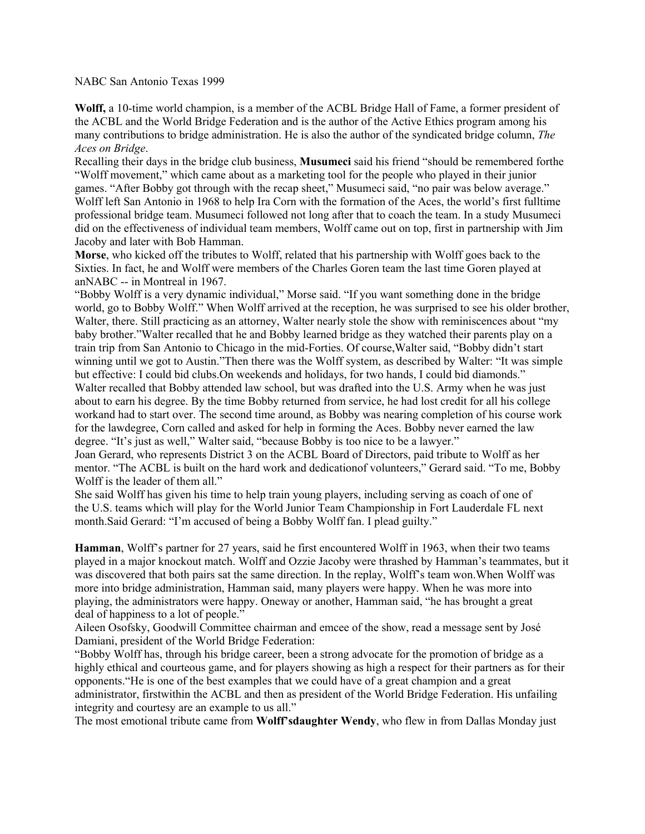## NABC San Antonio Texas 1999

**Wolff,** a 10-time world champion, is a member of the ACBL Bridge Hall of Fame, a former president of the ACBL and the World Bridge Federation and is the author of the Active Ethics program among his many contributions to bridge administration. He is also the author of the syndicated bridge column, *The Aces on Bridge*.

Recalling their days in the bridge club business, **Musumeci** said his friend "should be remembered forthe "Wolff movement," which came about as a marketing tool for the people who played in their junior games. "After Bobby got through with the recap sheet," Musumeci said, "no pair was below average." Wolff left San Antonio in 1968 to help Ira Corn with the formation of the Aces, the world's first fulltime professional bridge team. Musumeci followed not long after that to coach the team. In a study Musumeci did on the effectiveness of individual team members, Wolff came out on top, first in partnership with Jim Jacoby and later with Bob Hamman.

**Morse**, who kicked off the tributes to Wolff, related that his partnership with Wolff goes back to the Sixties. In fact, he and Wolff were members of the Charles Goren team the last time Goren played at anNABC -- in Montreal in 1967.

"Bobby Wolff is a very dynamic individual," Morse said. "If you want something done in the bridge world, go to Bobby Wolff." When Wolff arrived at the reception, he was surprised to see his older brother, Walter, there. Still practicing as an attorney, Walter nearly stole the show with reminiscences about "my baby brother."Walter recalled that he and Bobby learned bridge as they watched their parents play on a train trip from San Antonio to Chicago in the mid-Forties. Of course,Walter said, "Bobby didn't start winning until we got to Austin."Then there was the Wolff system, as described by Walter: "It was simple but effective: I could bid clubs.On weekends and holidays, for two hands, I could bid diamonds." Walter recalled that Bobby attended law school, but was drafted into the U.S. Army when he was just about to earn his degree. By the time Bobby returned from service, he had lost credit for all his college workand had to start over. The second time around, as Bobby was nearing completion of his course work for the lawdegree, Corn called and asked for help in forming the Aces. Bobby never earned the law degree. "It's just as well," Walter said, "because Bobby is too nice to be a lawyer."

Joan Gerard, who represents District 3 on the ACBL Board of Directors, paid tribute to Wolff as her mentor. "The ACBL is built on the hard work and dedicationof volunteers," Gerard said. "To me, Bobby Wolff is the leader of them all."

She said Wolff has given his time to help train young players, including serving as coach of one of the U.S. teams which will play for the World Junior Team Championship in Fort Lauderdale FL next month.Said Gerard: "I'm accused of being a Bobby Wolff fan. I plead guilty."

**Hamman**, Wolff's partner for 27 years, said he first encountered Wolff in 1963, when their two teams played in a major knockout match. Wolff and Ozzie Jacoby were thrashed by Hamman's teammates, but it was discovered that both pairs sat the same direction. In the replay, Wolff's team won.When Wolff was more into bridge administration, Hamman said, many players were happy. When he was more into playing, the administrators were happy. Oneway or another, Hamman said, "he has brought a great deal of happiness to a lot of people."

Aileen Osofsky, Goodwill Committee chairman and emcee of the show, read a message sent by José Damiani, president of the World Bridge Federation:

"Bobby Wolff has, through his bridge career, been a strong advocate for the promotion of bridge as a highly ethical and courteous game, and for players showing as high a respect for their partners as for their opponents."He is one of the best examples that we could have of a great champion and a great administrator, firstwithin the ACBL and then as president of the World Bridge Federation. His unfailing integrity and courtesy are an example to us all."

The most emotional tribute came from **Wolff'sdaughter Wendy**, who flew in from Dallas Monday just